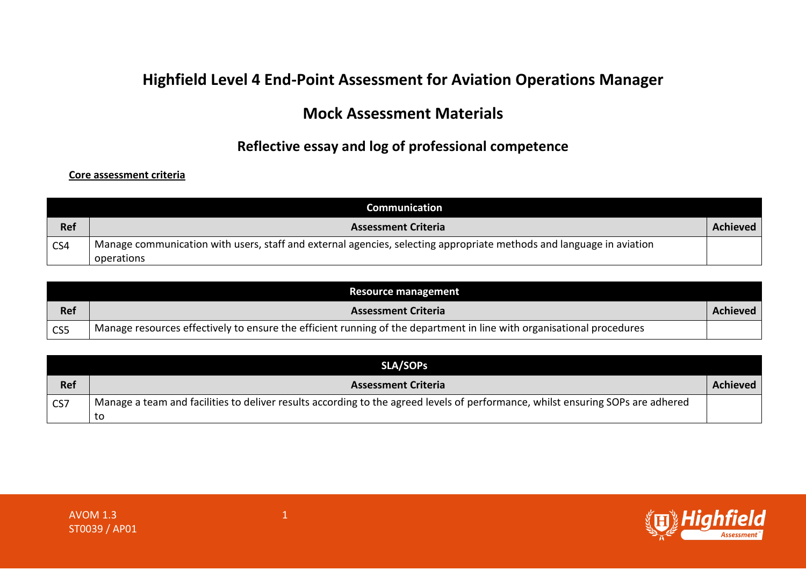# **Highfield Level 4 End-Point Assessment for Aviation Operations Manager**

## **Mock Assessment Materials**

## **Reflective essay and log of professional competence**

#### **Core assessment criteria**

|                         | Communication                                                                                                        |                 |
|-------------------------|----------------------------------------------------------------------------------------------------------------------|-----------------|
| <b>Ref</b>              | <b>Assessment Criteria</b>                                                                                           | <b>Achieved</b> |
| $\overline{\text{CS4}}$ | Manage communication with users, staff and external agencies, selecting appropriate methods and language in aviation |                 |
|                         | operations                                                                                                           |                 |

|                        | Resource management                                                                                                   |                 |
|------------------------|-----------------------------------------------------------------------------------------------------------------------|-----------------|
| <b>Ref</b>             | <b>Assessment Criteria</b>                                                                                            | <b>Achieved</b> |
| $\overline{\text{CS}}$ | Manage resources effectively to ensure the efficient running of the department in line with organisational procedures |                 |

|            | <b>SLA/SOPS</b>                                                                                                                 |          |
|------------|---------------------------------------------------------------------------------------------------------------------------------|----------|
| <b>Ref</b> | <b>Assessment Criteria</b>                                                                                                      | Achieved |
| CS7        | Manage a team and facilities to deliver results according to the agreed levels of performance, whilst ensuring SOPs are adhered |          |
|            | τo                                                                                                                              |          |

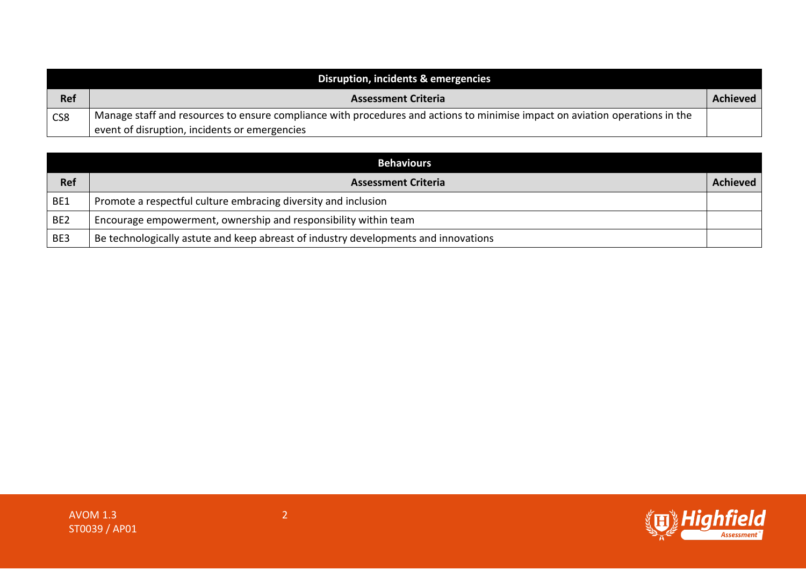|     | Disruption, incidents & emergencies                                                                                          |          |
|-----|------------------------------------------------------------------------------------------------------------------------------|----------|
| Ref | <b>Assessment Criteria</b>                                                                                                   | Achieved |
| CS8 | Manage staff and resources to ensure compliance with procedures and actions to minimise impact on aviation operations in the |          |
|     | event of disruption, incidents or emergencies                                                                                |          |

|                 | <b>Behaviours</b>                                                                   |          |
|-----------------|-------------------------------------------------------------------------------------|----------|
| <b>Ref</b>      | <b>Assessment Criteria</b>                                                          | Achieved |
| BE1             | Promote a respectful culture embracing diversity and inclusion                      |          |
| BE <sub>2</sub> | Encourage empowerment, ownership and responsibility within team                     |          |
| BE3             | Be technologically astute and keep abreast of industry developments and innovations |          |

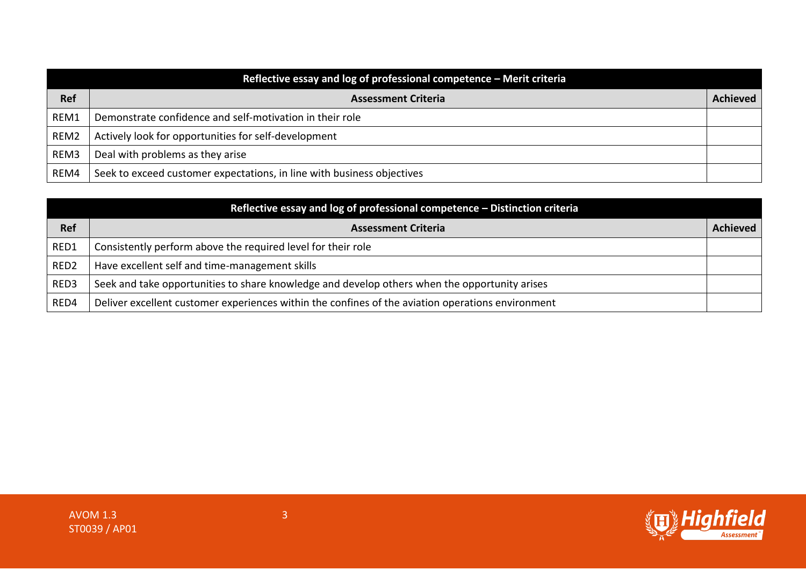|            | Reflective essay and log of professional competence - Merit criteria   |                 |
|------------|------------------------------------------------------------------------|-----------------|
| <b>Ref</b> | <b>Assessment Criteria</b>                                             | <b>Achieved</b> |
| REM1       | Demonstrate confidence and self-motivation in their role               |                 |
| REM2       | Actively look for opportunities for self-development                   |                 |
| REM3       | Deal with problems as they arise                                       |                 |
| REM4       | Seek to exceed customer expectations, in line with business objectives |                 |

|                  | Reflective essay and log of professional competence - Distinction criteria                        |                 |
|------------------|---------------------------------------------------------------------------------------------------|-----------------|
| <b>Ref</b>       | <b>Assessment Criteria</b>                                                                        | <b>Achieved</b> |
| RED1             | Consistently perform above the required level for their role                                      |                 |
| RED <sub>2</sub> | Have excellent self and time-management skills                                                    |                 |
| RED3             | Seek and take opportunities to share knowledge and develop others when the opportunity arises     |                 |
| RED4             | Deliver excellent customer experiences within the confines of the aviation operations environment |                 |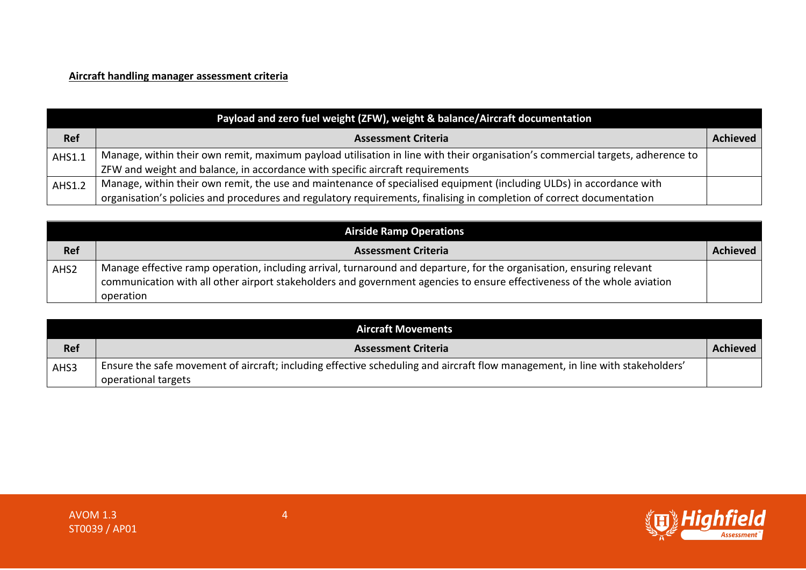## **Aircraft handling manager assessment criteria**

|            | Payload and zero fuel weight (ZFW), weight & balance/Aircraft documentation                                                    |                 |
|------------|--------------------------------------------------------------------------------------------------------------------------------|-----------------|
| <b>Ref</b> | <b>Assessment Criteria</b>                                                                                                     | <b>Achieved</b> |
| AHS1.1     | Manage, within their own remit, maximum payload utilisation in line with their organisation's commercial targets, adherence to |                 |
|            | ZFW and weight and balance, in accordance with specific aircraft requirements                                                  |                 |
| AHS1.2     | Manage, within their own remit, the use and maintenance of specialised equipment (including ULDs) in accordance with           |                 |
|            | organisation's policies and procedures and regulatory requirements, finalising in completion of correct documentation          |                 |

|                  | <b>Airside Ramp Operations</b>                                                                                                                                                                                                                                |                 |
|------------------|---------------------------------------------------------------------------------------------------------------------------------------------------------------------------------------------------------------------------------------------------------------|-----------------|
| <b>Ref</b>       | <b>Assessment Criteria</b>                                                                                                                                                                                                                                    | <b>Achieved</b> |
| AHS <sub>2</sub> | Manage effective ramp operation, including arrival, turnaround and departure, for the organisation, ensuring relevant<br>communication with all other airport stakeholders and government agencies to ensure effectiveness of the whole aviation<br>operation |                 |

|            | <b>Aircraft Movements</b>                                                                                                                            |                 |
|------------|------------------------------------------------------------------------------------------------------------------------------------------------------|-----------------|
| <b>Ref</b> | <b>Assessment Criteria</b>                                                                                                                           | <b>Achieved</b> |
| AHS3       | Ensure the safe movement of aircraft; including effective scheduling and aircraft flow management, in line with stakeholders'<br>operational targets |                 |

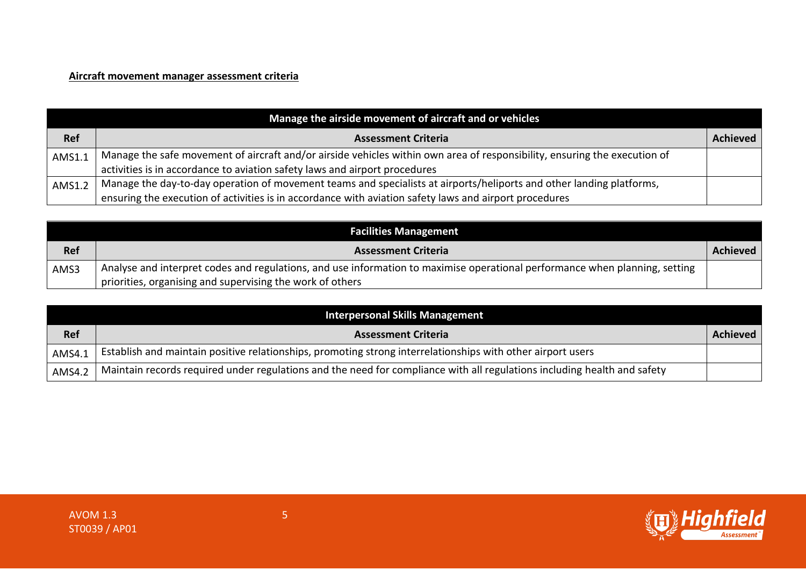#### **Aircraft movement manager assessment criteria**

|            | Manage the airside movement of aircraft and or vehicles                                                                   |          |
|------------|---------------------------------------------------------------------------------------------------------------------------|----------|
| <b>Ref</b> | <b>Assessment Criteria</b>                                                                                                | Achieved |
| AMS1.1     | Manage the safe movement of aircraft and/or airside vehicles within own area of responsibility, ensuring the execution of |          |
|            | activities is in accordance to aviation safety laws and airport procedures                                                |          |
| AMS1.2     | Manage the day-to-day operation of movement teams and specialists at airports/heliports and other landing platforms,      |          |
|            | ensuring the execution of activities is in accordance with aviation safety laws and airport procedures                    |          |

|            | <b>Facilities Management</b>                                                                                                |                 |
|------------|-----------------------------------------------------------------------------------------------------------------------------|-----------------|
| <b>Ref</b> | <b>Assessment Criteria</b>                                                                                                  | <b>Achieved</b> |
| AMS3       | Analyse and interpret codes and regulations, and use information to maximise operational performance when planning, setting |                 |
|            | priorities, organising and supervising the work of others                                                                   |                 |

|            | <b>Interpersonal Skills Management</b>                                                                                   |                 |
|------------|--------------------------------------------------------------------------------------------------------------------------|-----------------|
| <b>Ref</b> | <b>Assessment Criteria</b>                                                                                               | <b>Achieved</b> |
| AMS4.1     | Establish and maintain positive relationships, promoting strong interrelationships with other airport users              |                 |
| AMS4.2     | Maintain records required under regulations and the need for compliance with all regulations including health and safety |                 |

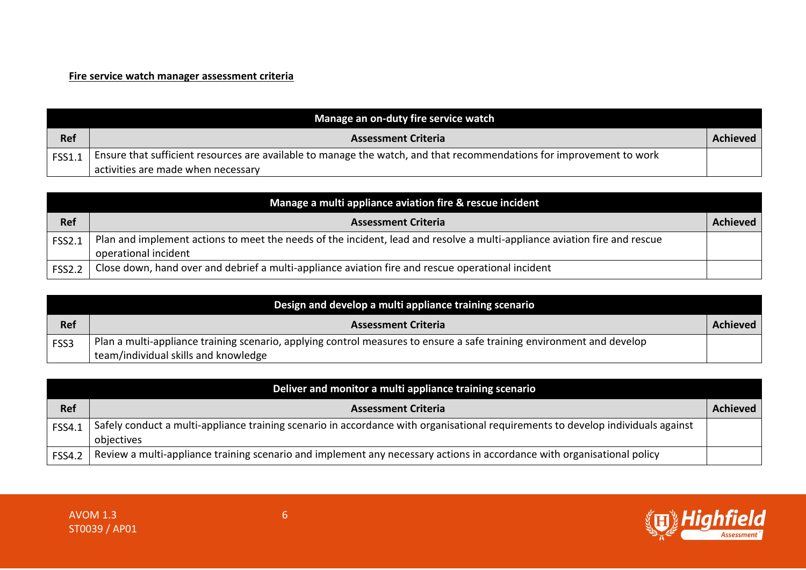#### **Fire service watch manager assessment criteria**

|        | Manage an on-duty fire service watch                                                                                 |          |
|--------|----------------------------------------------------------------------------------------------------------------------|----------|
| Ref    | <b>Assessment Criteria</b>                                                                                           | Achieved |
| FSS1.1 | Ensure that sufficient resources are available to manage the watch, and that recommendations for improvement to work |          |
|        | activities are made when necessary                                                                                   |          |

| Manage a multi appliance aviation fire & rescue incident |                                                                                                                                                   |                 |
|----------------------------------------------------------|---------------------------------------------------------------------------------------------------------------------------------------------------|-----------------|
| <b>Ref</b>                                               | <b>Assessment Criteria</b>                                                                                                                        | <b>Achieved</b> |
| <b>FSS2.1</b>                                            | Plan and implement actions to meet the needs of the incident, lead and resolve a multi-appliance aviation fire and rescue<br>operational incident |                 |
| <b>FSS2.2</b>                                            | Close down, hand over and debrief a multi-appliance aviation fire and rescue operational incident                                                 |                 |

|            | Design and develop a multi appliance training scenario                                                                |          |
|------------|-----------------------------------------------------------------------------------------------------------------------|----------|
| <b>Ref</b> | <b>Assessment Criteria</b>                                                                                            | Achieved |
| FSS3       | Plan a multi-appliance training scenario, applying control measures to ensure a safe training environment and develop |          |
|            | team/individual skills and knowledge                                                                                  |          |

| Deliver and monitor a multi appliance training scenario |                                                                                                                                                |                 |
|---------------------------------------------------------|------------------------------------------------------------------------------------------------------------------------------------------------|-----------------|
| <b>Ref</b>                                              | <b>Assessment Criteria</b>                                                                                                                     | <b>Achieved</b> |
| <b>FSS4.1</b>                                           | Safely conduct a multi-appliance training scenario in accordance with organisational requirements to develop individuals against<br>objectives |                 |
| <b>FSS4.2</b>                                           | Review a multi-appliance training scenario and implement any necessary actions in accordance with organisational policy                        |                 |

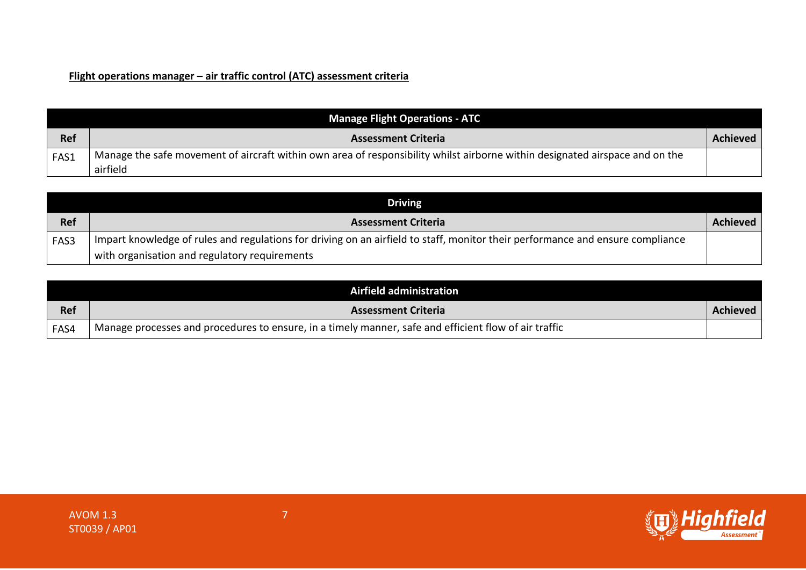### **Flight operations manager – air traffic control (ATC) assessment criteria**

|            | <b>Manage Flight Operations - ATC</b>                                                                                                    |          |
|------------|------------------------------------------------------------------------------------------------------------------------------------------|----------|
| <b>Ref</b> | <b>Assessment Criteria</b>                                                                                                               | Achieved |
| FAS1       | Manage the safe movement of aircraft within own area of responsibility whilst airborne within designated airspace and on the<br>airfield |          |

|      | Driving                                                                                                                        |          |
|------|--------------------------------------------------------------------------------------------------------------------------------|----------|
| Ref  | <b>Assessment Criteria</b>                                                                                                     | Achieved |
| FAS3 | Impart knowledge of rules and regulations for driving on an airfield to staff, monitor their performance and ensure compliance |          |
|      | with organisation and regulatory requirements                                                                                  |          |

|            | Airfield administration                                                                               |                 |
|------------|-------------------------------------------------------------------------------------------------------|-----------------|
| <b>Ref</b> | <b>Assessment Criteria</b>                                                                            | <b>Achieved</b> |
| FAS4       | Manage processes and procedures to ensure, in a timely manner, safe and efficient flow of air traffic |                 |



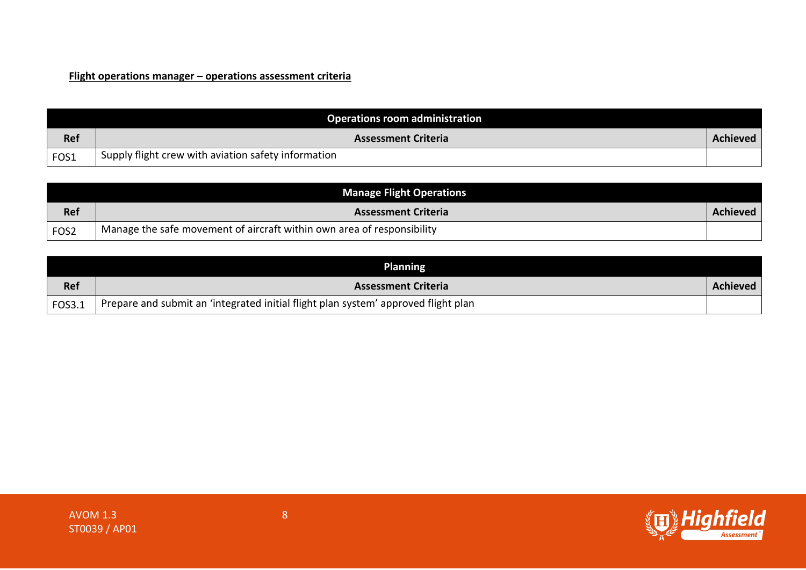### **Flight operations manager – operations assessment criteria**

|            | Operations room administration                      |                 |
|------------|-----------------------------------------------------|-----------------|
| <b>Ref</b> | <b>Assessment Criteria</b>                          | <b>Achieved</b> |
| FOS1       | Supply flight crew with aviation safety information |                 |

|                  | <b>Manage Flight Operations</b>                                        |                 |
|------------------|------------------------------------------------------------------------|-----------------|
| Ref              | <b>Assessment Criteria</b>                                             | <b>Achieved</b> |
| FOS <sub>2</sub> | Manage the safe movement of aircraft within own area of responsibility |                 |

|            | <b>Planning</b>                                                                    |          |
|------------|------------------------------------------------------------------------------------|----------|
| <b>Ref</b> | <b>Assessment Criteria</b>                                                         | Achieved |
| FOS3.1     | Prepare and submit an 'integrated initial flight plan system' approved flight plan |          |